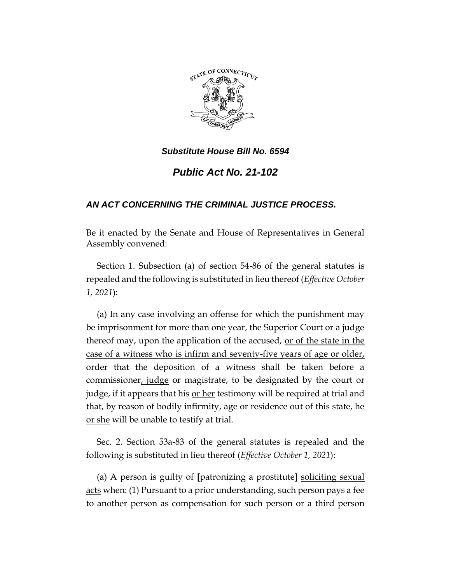

# *Public Act No. 21-102*

## *AN ACT CONCERNING THE CRIMINAL JUSTICE PROCESS.*

Be it enacted by the Senate and House of Representatives in General Assembly convened:

Section 1. Subsection (a) of section 54-86 of the general statutes is repealed and the following is substituted in lieu thereof (*Effective October 1, 2021*):

(a) In any case involving an offense for which the punishment may be imprisonment for more than one year, the Superior Court or a judge thereof may, upon the application of the accused, or of the state in the case of a witness who is infirm and seventy-five years of age or older, order that the deposition of a witness shall be taken before a commissioner, judge or magistrate, to be designated by the court or judge, if it appears that his or her testimony will be required at trial and that, by reason of bodily infirmity, age or residence out of this state, he or she will be unable to testify at trial.

Sec. 2. Section 53a-83 of the general statutes is repealed and the following is substituted in lieu thereof (*Effective October 1, 2021*):

(a) A person is guilty of **[**patronizing a prostitute**]** soliciting sexual acts when: (1) Pursuant to a prior understanding, such person pays a fee to another person as compensation for such person or a third person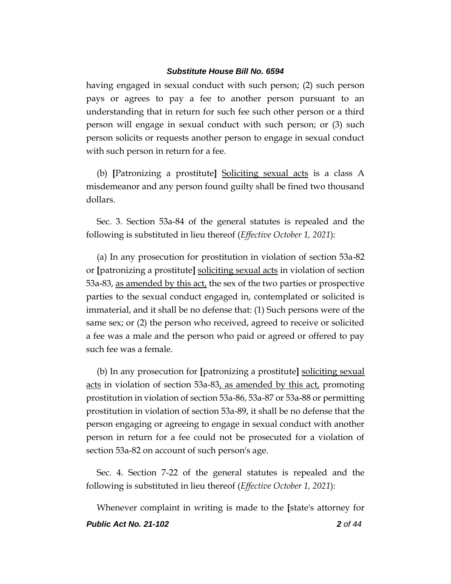having engaged in sexual conduct with such person; (2) such person pays or agrees to pay a fee to another person pursuant to an understanding that in return for such fee such other person or a third person will engage in sexual conduct with such person; or (3) such person solicits or requests another person to engage in sexual conduct with such person in return for a fee.

(b) **[**Patronizing a prostitute**]** Soliciting sexual acts is a class A misdemeanor and any person found guilty shall be fined two thousand dollars.

Sec. 3. Section 53a-84 of the general statutes is repealed and the following is substituted in lieu thereof (*Effective October 1, 2021*):

(a) In any prosecution for prostitution in violation of section 53a-82 or **[**patronizing a prostitute**]** soliciting sexual acts in violation of section 53a-83, as amended by this act, the sex of the two parties or prospective parties to the sexual conduct engaged in, contemplated or solicited is immaterial, and it shall be no defense that: (1) Such persons were of the same sex; or (2) the person who received, agreed to receive or solicited a fee was a male and the person who paid or agreed or offered to pay such fee was a female.

(b) In any prosecution for **[**patronizing a prostitute**]** soliciting sexual acts in violation of section 53a-83, as amended by this act, promoting prostitution in violation of section 53a-86, 53a-87 or 53a-88 or permitting prostitution in violation of section 53a-89, it shall be no defense that the person engaging or agreeing to engage in sexual conduct with another person in return for a fee could not be prosecuted for a violation of section 53a-82 on account of such person's age.

Sec. 4. Section 7-22 of the general statutes is repealed and the following is substituted in lieu thereof (*Effective October 1, 2021*):

*Public Act No. 21-102 2 of 44* Whenever complaint in writing is made to the **[**state's attorney for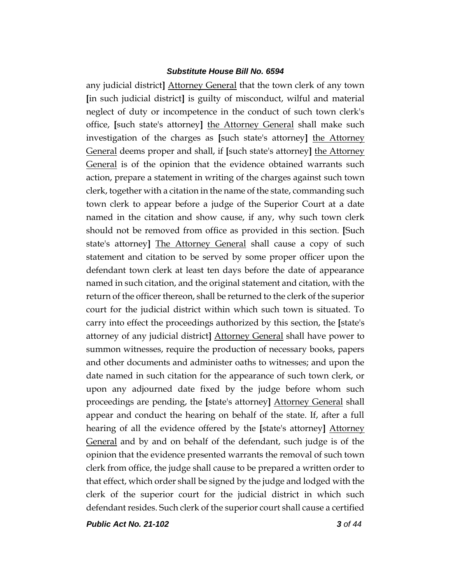any judicial district**]** Attorney General that the town clerk of any town **[**in such judicial district**]** is guilty of misconduct, wilful and material neglect of duty or incompetence in the conduct of such town clerk's office, **[**such state's attorney**]** the Attorney General shall make such investigation of the charges as **[**such state's attorney**]** the Attorney General deems proper and shall, if **[**such state's attorney**]** the Attorney General is of the opinion that the evidence obtained warrants such action, prepare a statement in writing of the charges against such town clerk, together with a citation in the name of the state, commanding such town clerk to appear before a judge of the Superior Court at a date named in the citation and show cause, if any, why such town clerk should not be removed from office as provided in this section. **[**Such state's attorney**]** The Attorney General shall cause a copy of such statement and citation to be served by some proper officer upon the defendant town clerk at least ten days before the date of appearance named in such citation, and the original statement and citation, with the return of the officer thereon, shall be returned to the clerk of the superior court for the judicial district within which such town is situated. To carry into effect the proceedings authorized by this section, the **[**state's attorney of any judicial district**]** Attorney General shall have power to summon witnesses, require the production of necessary books, papers and other documents and administer oaths to witnesses; and upon the date named in such citation for the appearance of such town clerk, or upon any adjourned date fixed by the judge before whom such proceedings are pending, the **[**state's attorney**]** Attorney General shall appear and conduct the hearing on behalf of the state. If, after a full hearing of all the evidence offered by the **[**state's attorney**]** Attorney General and by and on behalf of the defendant, such judge is of the opinion that the evidence presented warrants the removal of such town clerk from office, the judge shall cause to be prepared a written order to that effect, which order shall be signed by the judge and lodged with the clerk of the superior court for the judicial district in which such defendant resides. Such clerk of the superior court shall cause a certified

*Public Act No. 21-102 3 of 44*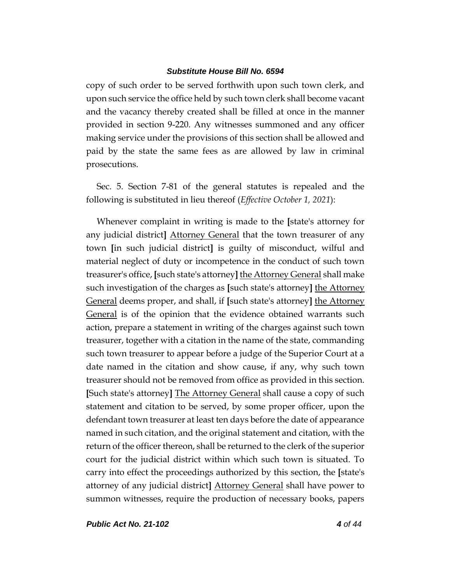copy of such order to be served forthwith upon such town clerk, and upon such service the office held by such town clerk shall become vacant and the vacancy thereby created shall be filled at once in the manner provided in section 9-220. Any witnesses summoned and any officer making service under the provisions of this section shall be allowed and paid by the state the same fees as are allowed by law in criminal prosecutions.

Sec. 5. Section 7-81 of the general statutes is repealed and the following is substituted in lieu thereof (*Effective October 1, 2021*):

Whenever complaint in writing is made to the **[**state's attorney for any judicial district**]** Attorney General that the town treasurer of any town **[**in such judicial district**]** is guilty of misconduct, wilful and material neglect of duty or incompetence in the conduct of such town treasurer's office, **[**such state's attorney**]** the Attorney General shall make such investigation of the charges as **[**such state's attorney**]** the Attorney General deems proper, and shall, if **[**such state's attorney**]** the Attorney General is of the opinion that the evidence obtained warrants such action, prepare a statement in writing of the charges against such town treasurer, together with a citation in the name of the state, commanding such town treasurer to appear before a judge of the Superior Court at a date named in the citation and show cause, if any, why such town treasurer should not be removed from office as provided in this section. **[**Such state's attorney**]** The Attorney General shall cause a copy of such statement and citation to be served, by some proper officer, upon the defendant town treasurer at least ten days before the date of appearance named in such citation, and the original statement and citation, with the return of the officer thereon, shall be returned to the clerk of the superior court for the judicial district within which such town is situated. To carry into effect the proceedings authorized by this section, the **[**state's attorney of any judicial district**]** Attorney General shall have power to summon witnesses, require the production of necessary books, papers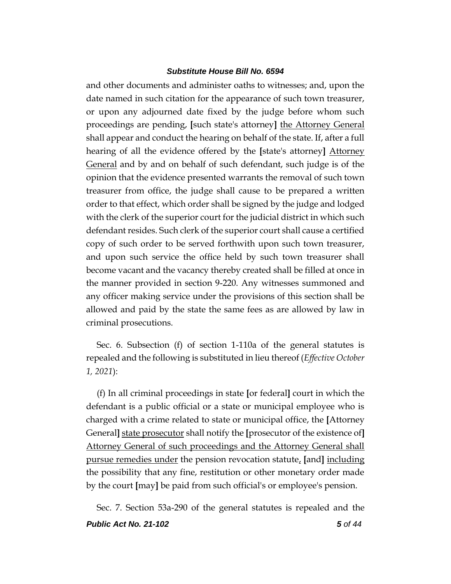and other documents and administer oaths to witnesses; and, upon the date named in such citation for the appearance of such town treasurer, or upon any adjourned date fixed by the judge before whom such proceedings are pending, **[**such state's attorney**]** the Attorney General shall appear and conduct the hearing on behalf of the state. If, after a full hearing of all the evidence offered by the **[**state's attorney**]** Attorney General and by and on behalf of such defendant, such judge is of the opinion that the evidence presented warrants the removal of such town treasurer from office, the judge shall cause to be prepared a written order to that effect, which order shall be signed by the judge and lodged with the clerk of the superior court for the judicial district in which such defendant resides. Such clerk of the superior court shall cause a certified copy of such order to be served forthwith upon such town treasurer, and upon such service the office held by such town treasurer shall become vacant and the vacancy thereby created shall be filled at once in the manner provided in section 9-220. Any witnesses summoned and any officer making service under the provisions of this section shall be allowed and paid by the state the same fees as are allowed by law in criminal prosecutions.

Sec. 6. Subsection (f) of section 1-110a of the general statutes is repealed and the following is substituted in lieu thereof (*Effective October 1, 2021*):

(f) In all criminal proceedings in state **[**or federal**]** court in which the defendant is a public official or a state or municipal employee who is charged with a crime related to state or municipal office, the **[**Attorney General**]** state prosecutor shall notify the **[**prosecutor of the existence of**]** Attorney General of such proceedings and the Attorney General shall pursue remedies under the pension revocation statute, **[**and**]** including the possibility that any fine, restitution or other monetary order made by the court **[**may**]** be paid from such official's or employee's pension.

*Public Act No. 21-102 5 of 44* Sec. 7. Section 53a-290 of the general statutes is repealed and the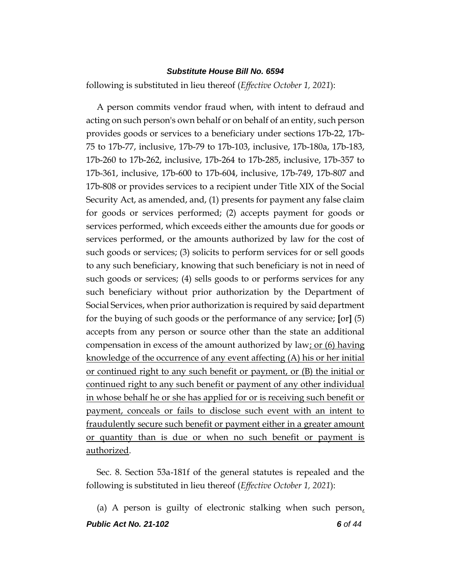following is substituted in lieu thereof (*Effective October 1, 2021*):

A person commits vendor fraud when, with intent to defraud and acting on such person's own behalf or on behalf of an entity, such person provides goods or services to a beneficiary under sections 17b-22, 17b-75 to 17b-77, inclusive, 17b-79 to 17b-103, inclusive, 17b-180a, 17b-183, 17b-260 to 17b-262, inclusive, 17b-264 to 17b-285, inclusive, 17b-357 to 17b-361, inclusive, 17b-600 to 17b-604, inclusive, 17b-749, 17b-807 and 17b-808 or provides services to a recipient under Title XIX of the Social Security Act, as amended, and, (1) presents for payment any false claim for goods or services performed; (2) accepts payment for goods or services performed, which exceeds either the amounts due for goods or services performed, or the amounts authorized by law for the cost of such goods or services; (3) solicits to perform services for or sell goods to any such beneficiary, knowing that such beneficiary is not in need of such goods or services; (4) sells goods to or performs services for any such beneficiary without prior authorization by the Department of Social Services, when prior authorization is required by said department for the buying of such goods or the performance of any service; **[**or**]** (5) accepts from any person or source other than the state an additional compensation in excess of the amount authorized by law; or (6) having knowledge of the occurrence of any event affecting (A) his or her initial or continued right to any such benefit or payment, or (B) the initial or continued right to any such benefit or payment of any other individual in whose behalf he or she has applied for or is receiving such benefit or payment, conceals or fails to disclose such event with an intent to fraudulently secure such benefit or payment either in a greater amount or quantity than is due or when no such benefit or payment is authorized.

Sec. 8. Section 53a-181f of the general statutes is repealed and the following is substituted in lieu thereof (*Effective October 1, 2021*):

*Public Act No. 21-102 6 of 44* (a) A person is guilty of electronic stalking when such person,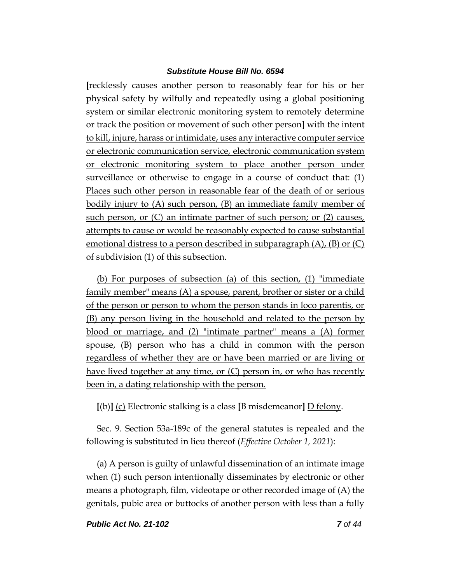**[**recklessly causes another person to reasonably fear for his or her physical safety by wilfully and repeatedly using a global positioning system or similar electronic monitoring system to remotely determine or track the position or movement of such other person**]** with the intent to kill, injure, harass or intimidate, uses any interactive computer service or electronic communication service, electronic communication system or electronic monitoring system to place another person under surveillance or otherwise to engage in a course of conduct that: (1) Places such other person in reasonable fear of the death of or serious bodily injury to (A) such person, (B) an immediate family member of such person, or (C) an intimate partner of such person; or (2) causes, attempts to cause or would be reasonably expected to cause substantial emotional distress to a person described in subparagraph (A), (B) or (C) of subdivision (1) of this subsection.

(b) For purposes of subsection (a) of this section, (1) "immediate family member" means (A) a spouse, parent, brother or sister or a child of the person or person to whom the person stands in loco parentis, or (B) any person living in the household and related to the person by blood or marriage, and (2) "intimate partner" means a (A) former spouse, (B) person who has a child in common with the person regardless of whether they are or have been married or are living or have lived together at any time, or (C) person in, or who has recently been in, a dating relationship with the person.

**[**(b)**]** (c) Electronic stalking is a class **[**B misdemeanor**]** D felony.

Sec. 9. Section 53a-189c of the general statutes is repealed and the following is substituted in lieu thereof (*Effective October 1, 2021*):

(a) A person is guilty of unlawful dissemination of an intimate image when (1) such person intentionally disseminates by electronic or other means a photograph, film, videotape or other recorded image of (A) the genitals, pubic area or buttocks of another person with less than a fully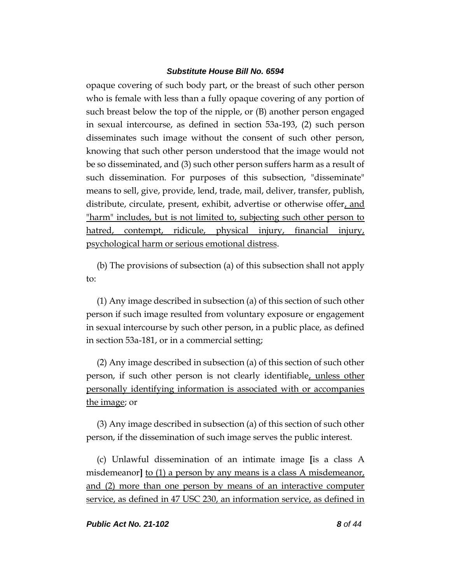opaque covering of such body part, or the breast of such other person who is female with less than a fully opaque covering of any portion of such breast below the top of the nipple, or (B) another person engaged in sexual intercourse, as defined in section 53a-193, (2) such person disseminates such image without the consent of such other person, knowing that such other person understood that the image would not be so disseminated, and (3) such other person suffers harm as a result of such dissemination. For purposes of this subsection, "disseminate" means to sell, give, provide, lend, trade, mail, deliver, transfer, publish, distribute, circulate, present, exhibit, advertise or otherwise offer, and "harm" includes, but is not limited to, subjecting such other person to hatred, contempt, ridicule, physical injury, financial injury, psychological harm or serious emotional distress.

(b) The provisions of subsection (a) of this subsection shall not apply to:

(1) Any image described in subsection (a) of this section of such other person if such image resulted from voluntary exposure or engagement in sexual intercourse by such other person, in a public place, as defined in section 53a-181, or in a commercial setting;

(2) Any image described in subsection (a) of this section of such other person, if such other person is not clearly identifiable, unless other personally identifying information is associated with or accompanies the image; or

(3) Any image described in subsection (a) of this section of such other person, if the dissemination of such image serves the public interest.

(c) Unlawful dissemination of an intimate image **[**is a class A misdemeanor**]** to (1) a person by any means is a class A misdemeanor, and (2) more than one person by means of an interactive computer service, as defined in 47 USC 230, an information service, as defined in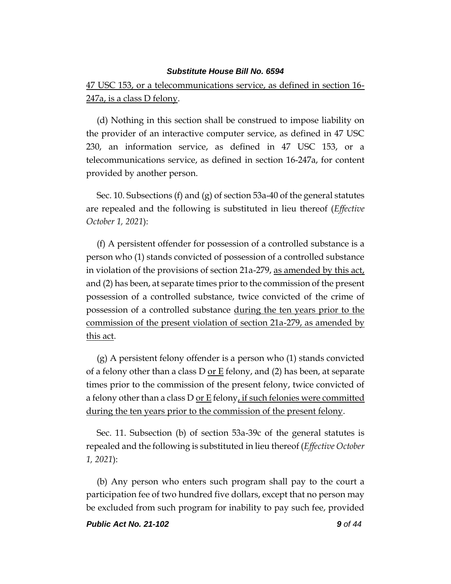47 USC 153, or a telecommunications service, as defined in section 16- 247a, is a class D felony.

(d) Nothing in this section shall be construed to impose liability on the provider of an interactive computer service, as defined in 47 USC 230, an information service, as defined in 47 USC 153, or a telecommunications service, as defined in section 16-247a, for content provided by another person.

Sec. 10. Subsections (f) and (g) of section 53a-40 of the general statutes are repealed and the following is substituted in lieu thereof (*Effective October 1, 2021*):

(f) A persistent offender for possession of a controlled substance is a person who (1) stands convicted of possession of a controlled substance in violation of the provisions of section 21a-279, as amended by this act, and (2) has been, at separate times prior to the commission of the present possession of a controlled substance, twice convicted of the crime of possession of a controlled substance during the ten years prior to the commission of the present violation of section 21a-279, as amended by this act.

(g) A persistent felony offender is a person who (1) stands convicted of a felony other than a class D <u>or E</u> felony, and (2) has been, at separate times prior to the commission of the present felony, twice convicted of a felony other than a class D or  $E$  felony, if such felonies were committed during the ten years prior to the commission of the present felony.

Sec. 11. Subsection (b) of section 53a-39c of the general statutes is repealed and the following is substituted in lieu thereof (*Effective October 1, 2021*):

(b) Any person who enters such program shall pay to the court a participation fee of two hundred five dollars, except that no person may be excluded from such program for inability to pay such fee, provided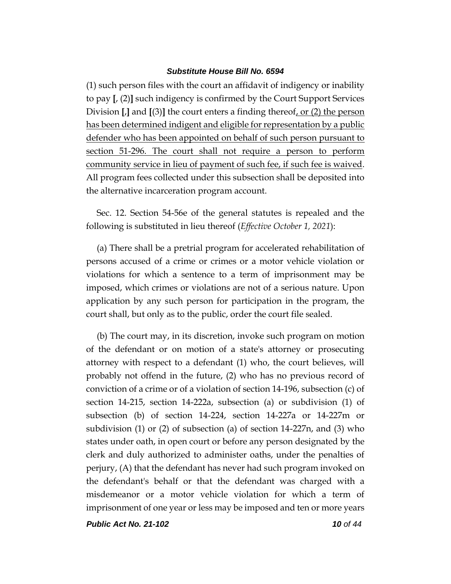(1) such person files with the court an affidavit of indigency or inability to pay **[**, (2)**]** such indigency is confirmed by the Court Support Services Division  $\left[\right]$  and  $\left[\right]$  the court enters a finding thereof, or  $\left(2\right)$  the person has been determined indigent and eligible for representation by a public defender who has been appointed on behalf of such person pursuant to section 51-296. The court shall not require a person to perform community service in lieu of payment of such fee, if such fee is waived. All program fees collected under this subsection shall be deposited into the alternative incarceration program account.

Sec. 12. Section 54-56e of the general statutes is repealed and the following is substituted in lieu thereof (*Effective October 1, 2021*):

(a) There shall be a pretrial program for accelerated rehabilitation of persons accused of a crime or crimes or a motor vehicle violation or violations for which a sentence to a term of imprisonment may be imposed, which crimes or violations are not of a serious nature. Upon application by any such person for participation in the program, the court shall, but only as to the public, order the court file sealed.

(b) The court may, in its discretion, invoke such program on motion of the defendant or on motion of a state's attorney or prosecuting attorney with respect to a defendant (1) who, the court believes, will probably not offend in the future, (2) who has no previous record of conviction of a crime or of a violation of section 14-196, subsection (c) of section 14-215, section 14-222a, subsection (a) or subdivision (1) of subsection (b) of section 14-224, section 14-227a or 14-227m or subdivision (1) or (2) of subsection (a) of section 14-227n, and (3) who states under oath, in open court or before any person designated by the clerk and duly authorized to administer oaths, under the penalties of perjury, (A) that the defendant has never had such program invoked on the defendant's behalf or that the defendant was charged with a misdemeanor or a motor vehicle violation for which a term of imprisonment of one year or less may be imposed and ten or more years

*Public Act No. 21-102 10 of 44*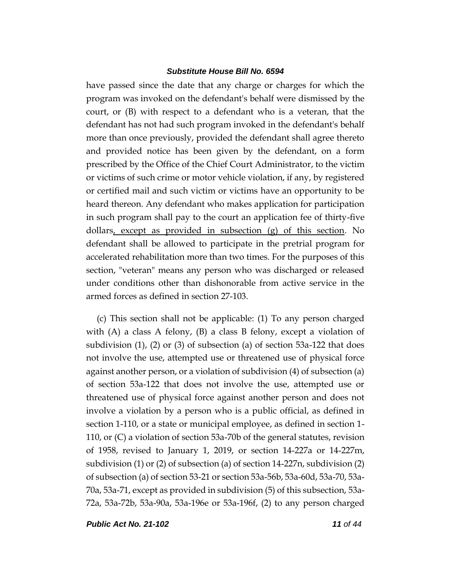have passed since the date that any charge or charges for which the program was invoked on the defendant's behalf were dismissed by the court, or (B) with respect to a defendant who is a veteran, that the defendant has not had such program invoked in the defendant's behalf more than once previously, provided the defendant shall agree thereto and provided notice has been given by the defendant, on a form prescribed by the Office of the Chief Court Administrator, to the victim or victims of such crime or motor vehicle violation, if any, by registered or certified mail and such victim or victims have an opportunity to be heard thereon. Any defendant who makes application for participation in such program shall pay to the court an application fee of thirty-five dollars, except as provided in subsection (g) of this section. No defendant shall be allowed to participate in the pretrial program for accelerated rehabilitation more than two times. For the purposes of this section, "veteran" means any person who was discharged or released under conditions other than dishonorable from active service in the armed forces as defined in section 27-103.

(c) This section shall not be applicable: (1) To any person charged with (A) a class A felony, (B) a class B felony, except a violation of subdivision  $(1)$ ,  $(2)$  or  $(3)$  of subsection  $(a)$  of section 53a-122 that does not involve the use, attempted use or threatened use of physical force against another person, or a violation of subdivision (4) of subsection (a) of section 53a-122 that does not involve the use, attempted use or threatened use of physical force against another person and does not involve a violation by a person who is a public official, as defined in section 1-110, or a state or municipal employee, as defined in section 1- 110, or (C) a violation of section 53a-70b of the general statutes, revision of 1958, revised to January 1, 2019, or section 14-227a or 14-227m, subdivision (1) or (2) of subsection (a) of section 14-227n, subdivision (2) of subsection (a) of section 53-21 or section 53a-56b, 53a-60d, 53a-70, 53a-70a, 53a-71, except as provided in subdivision (5) of this subsection, 53a-72a, 53a-72b, 53a-90a, 53a-196e or 53a-196f, (2) to any person charged

*Public Act No. 21-102 11 of 44*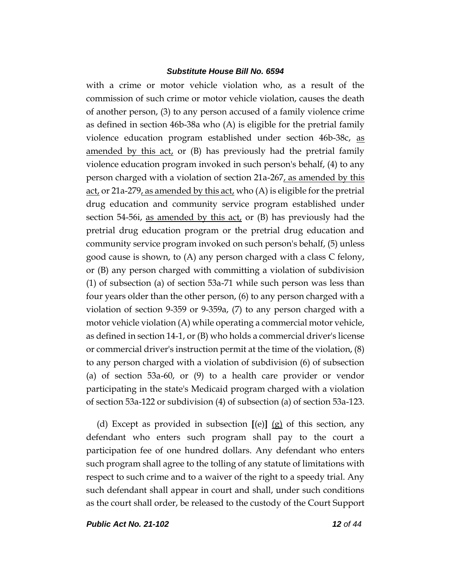with a crime or motor vehicle violation who, as a result of the commission of such crime or motor vehicle violation, causes the death of another person, (3) to any person accused of a family violence crime as defined in section 46b-38a who (A) is eligible for the pretrial family violence education program established under section 46b-38c, as amended by this act, or (B) has previously had the pretrial family violence education program invoked in such person's behalf, (4) to any person charged with a violation of section 21a-267, as amended by this <u>act</u>, or 21a-279, as amended by this act, who  $(A)$  is eligible for the pretrial drug education and community service program established under section 54-56i, as amended by this act, or  $(B)$  has previously had the pretrial drug education program or the pretrial drug education and community service program invoked on such person's behalf, (5) unless good cause is shown, to (A) any person charged with a class C felony, or (B) any person charged with committing a violation of subdivision (1) of subsection (a) of section 53a-71 while such person was less than four years older than the other person, (6) to any person charged with a violation of section 9-359 or 9-359a, (7) to any person charged with a motor vehicle violation (A) while operating a commercial motor vehicle, as defined in section 14-1, or (B) who holds a commercial driver's license or commercial driver's instruction permit at the time of the violation, (8) to any person charged with a violation of subdivision (6) of subsection (a) of section 53a-60, or (9) to a health care provider or vendor participating in the state's Medicaid program charged with a violation of section 53a-122 or subdivision (4) of subsection (a) of section 53a-123.

(d) Except as provided in subsection **[**(e)**]** (g) of this section, any defendant who enters such program shall pay to the court a participation fee of one hundred dollars. Any defendant who enters such program shall agree to the tolling of any statute of limitations with respect to such crime and to a waiver of the right to a speedy trial. Any such defendant shall appear in court and shall, under such conditions as the court shall order, be released to the custody of the Court Support

*Public Act No. 21-102 12 of 44*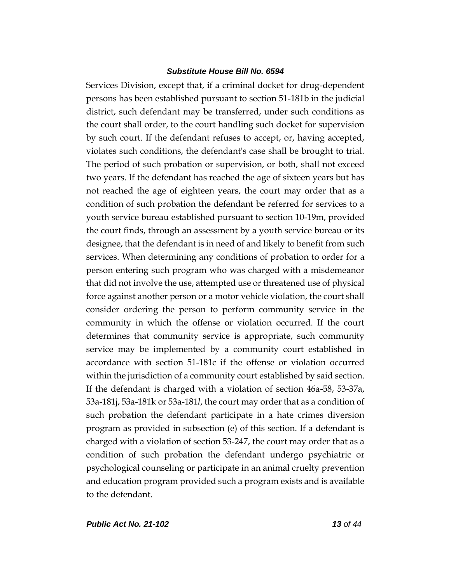Services Division, except that, if a criminal docket for drug-dependent persons has been established pursuant to section 51-181b in the judicial district, such defendant may be transferred, under such conditions as the court shall order, to the court handling such docket for supervision by such court. If the defendant refuses to accept, or, having accepted, violates such conditions, the defendant's case shall be brought to trial. The period of such probation or supervision, or both, shall not exceed two years. If the defendant has reached the age of sixteen years but has not reached the age of eighteen years, the court may order that as a condition of such probation the defendant be referred for services to a youth service bureau established pursuant to section 10-19m, provided the court finds, through an assessment by a youth service bureau or its designee, that the defendant is in need of and likely to benefit from such services. When determining any conditions of probation to order for a person entering such program who was charged with a misdemeanor that did not involve the use, attempted use or threatened use of physical force against another person or a motor vehicle violation, the court shall consider ordering the person to perform community service in the community in which the offense or violation occurred. If the court determines that community service is appropriate, such community service may be implemented by a community court established in accordance with section 51-181c if the offense or violation occurred within the jurisdiction of a community court established by said section. If the defendant is charged with a violation of section 46a-58, 53-37a, 53a-181j, 53a-181k or 53a-181*l*, the court may order that as a condition of such probation the defendant participate in a hate crimes diversion program as provided in subsection (e) of this section. If a defendant is charged with a violation of section 53-247, the court may order that as a condition of such probation the defendant undergo psychiatric or psychological counseling or participate in an animal cruelty prevention and education program provided such a program exists and is available to the defendant.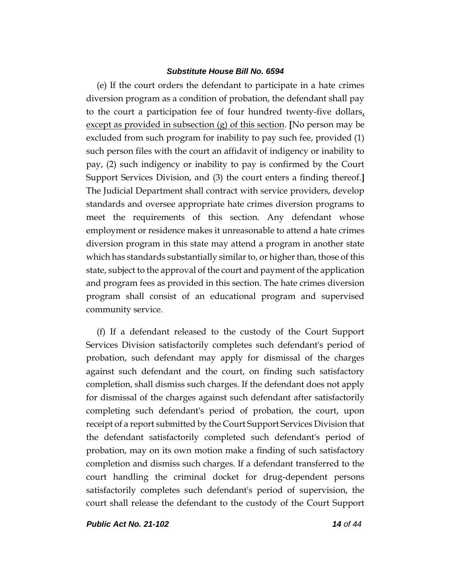(e) If the court orders the defendant to participate in a hate crimes diversion program as a condition of probation, the defendant shall pay to the court a participation fee of four hundred twenty-five dollars, except as provided in subsection (g) of this section. **[**No person may be excluded from such program for inability to pay such fee, provided (1) such person files with the court an affidavit of indigency or inability to pay, (2) such indigency or inability to pay is confirmed by the Court Support Services Division, and (3) the court enters a finding thereof.**]** The Judicial Department shall contract with service providers, develop standards and oversee appropriate hate crimes diversion programs to meet the requirements of this section. Any defendant whose employment or residence makes it unreasonable to attend a hate crimes diversion program in this state may attend a program in another state which has standards substantially similar to, or higher than, those of this state, subject to the approval of the court and payment of the application and program fees as provided in this section. The hate crimes diversion program shall consist of an educational program and supervised community service.

(f) If a defendant released to the custody of the Court Support Services Division satisfactorily completes such defendant's period of probation, such defendant may apply for dismissal of the charges against such defendant and the court, on finding such satisfactory completion, shall dismiss such charges. If the defendant does not apply for dismissal of the charges against such defendant after satisfactorily completing such defendant's period of probation, the court, upon receipt of a report submitted by the Court Support Services Division that the defendant satisfactorily completed such defendant's period of probation, may on its own motion make a finding of such satisfactory completion and dismiss such charges. If a defendant transferred to the court handling the criminal docket for drug-dependent persons satisfactorily completes such defendant's period of supervision, the court shall release the defendant to the custody of the Court Support

*Public Act No. 21-102 14 of 44*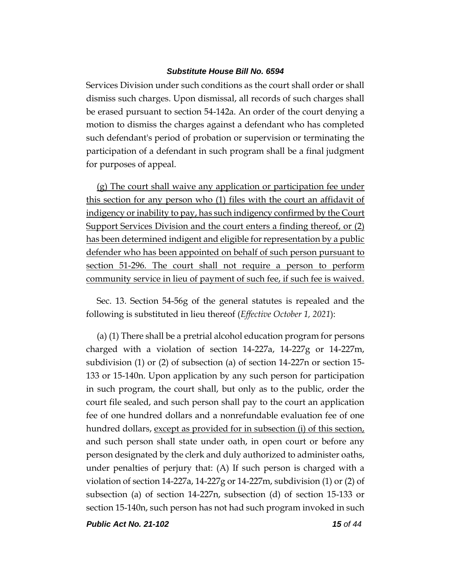Services Division under such conditions as the court shall order or shall dismiss such charges. Upon dismissal, all records of such charges shall be erased pursuant to section 54-142a. An order of the court denying a motion to dismiss the charges against a defendant who has completed such defendant's period of probation or supervision or terminating the participation of a defendant in such program shall be a final judgment for purposes of appeal.

(g) The court shall waive any application or participation fee under this section for any person who (1) files with the court an affidavit of indigency or inability to pay, has such indigency confirmed by the Court Support Services Division and the court enters a finding thereof, or (2) has been determined indigent and eligible for representation by a public defender who has been appointed on behalf of such person pursuant to section 51-296. The court shall not require a person to perform community service in lieu of payment of such fee, if such fee is waived.

Sec. 13. Section 54-56g of the general statutes is repealed and the following is substituted in lieu thereof (*Effective October 1, 2021*):

(a) (1) There shall be a pretrial alcohol education program for persons charged with a violation of section 14-227a, 14-227g or 14-227m, subdivision (1) or (2) of subsection (a) of section 14-227n or section 15- 133 or 15-140n. Upon application by any such person for participation in such program, the court shall, but only as to the public, order the court file sealed, and such person shall pay to the court an application fee of one hundred dollars and a nonrefundable evaluation fee of one hundred dollars, except as provided for in subsection (i) of this section, and such person shall state under oath, in open court or before any person designated by the clerk and duly authorized to administer oaths, under penalties of perjury that: (A) If such person is charged with a violation of section 14-227a, 14-227g or 14-227m, subdivision (1) or (2) of subsection (a) of section 14-227n, subsection (d) of section 15-133 or section 15-140n, such person has not had such program invoked in such

*Public Act No. 21-102 15 of 44*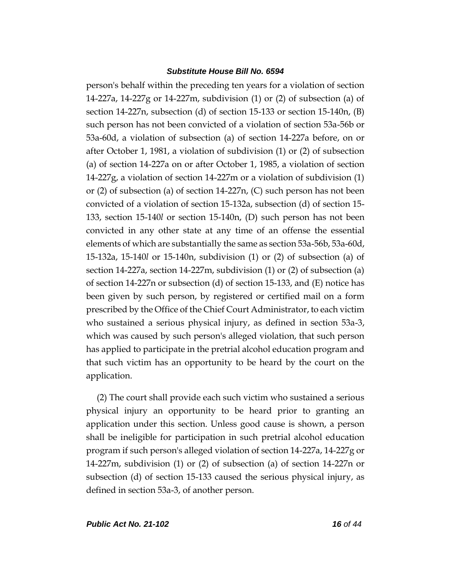person's behalf within the preceding ten years for a violation of section 14-227a, 14-227g or 14-227m, subdivision (1) or (2) of subsection (a) of section 14-227n, subsection (d) of section 15-133 or section 15-140n, (B) such person has not been convicted of a violation of section 53a-56b or 53a-60d, a violation of subsection (a) of section 14-227a before, on or after October 1, 1981, a violation of subdivision (1) or (2) of subsection (a) of section 14-227a on or after October 1, 1985, a violation of section 14-227g, a violation of section 14-227m or a violation of subdivision (1) or (2) of subsection (a) of section 14-227n, (C) such person has not been convicted of a violation of section 15-132a, subsection (d) of section 15- 133, section 15-140*l* or section 15-140n, (D) such person has not been convicted in any other state at any time of an offense the essential elements of which are substantially the same as section 53a-56b, 53a-60d, 15-132a, 15-140*l* or 15-140n, subdivision (1) or (2) of subsection (a) of section 14-227a, section 14-227m, subdivision (1) or (2) of subsection (a) of section 14-227n or subsection (d) of section 15-133, and (E) notice has been given by such person, by registered or certified mail on a form prescribed by the Office of the Chief Court Administrator, to each victim who sustained a serious physical injury, as defined in section 53a-3, which was caused by such person's alleged violation, that such person has applied to participate in the pretrial alcohol education program and that such victim has an opportunity to be heard by the court on the application.

(2) The court shall provide each such victim who sustained a serious physical injury an opportunity to be heard prior to granting an application under this section. Unless good cause is shown, a person shall be ineligible for participation in such pretrial alcohol education program if such person's alleged violation of section 14-227a, 14-227g or 14-227m, subdivision (1) or (2) of subsection (a) of section 14-227n or subsection (d) of section 15-133 caused the serious physical injury, as defined in section 53a-3, of another person.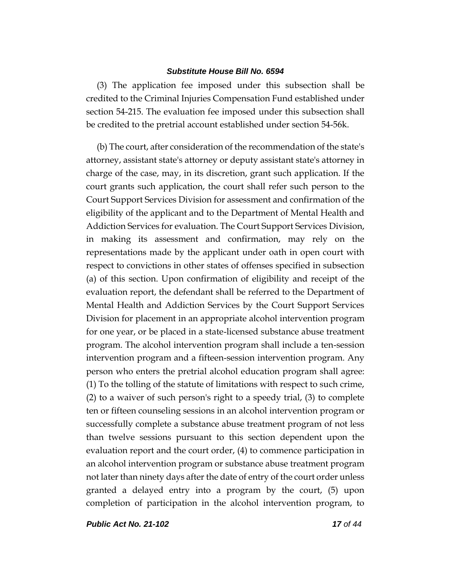(3) The application fee imposed under this subsection shall be credited to the Criminal Injuries Compensation Fund established under section 54-215. The evaluation fee imposed under this subsection shall be credited to the pretrial account established under section 54-56k.

(b) The court, after consideration of the recommendation of the state's attorney, assistant state's attorney or deputy assistant state's attorney in charge of the case, may, in its discretion, grant such application. If the court grants such application, the court shall refer such person to the Court Support Services Division for assessment and confirmation of the eligibility of the applicant and to the Department of Mental Health and Addiction Services for evaluation. The Court Support Services Division, in making its assessment and confirmation, may rely on the representations made by the applicant under oath in open court with respect to convictions in other states of offenses specified in subsection (a) of this section. Upon confirmation of eligibility and receipt of the evaluation report, the defendant shall be referred to the Department of Mental Health and Addiction Services by the Court Support Services Division for placement in an appropriate alcohol intervention program for one year, or be placed in a state-licensed substance abuse treatment program. The alcohol intervention program shall include a ten-session intervention program and a fifteen-session intervention program. Any person who enters the pretrial alcohol education program shall agree: (1) To the tolling of the statute of limitations with respect to such crime, (2) to a waiver of such person's right to a speedy trial, (3) to complete ten or fifteen counseling sessions in an alcohol intervention program or successfully complete a substance abuse treatment program of not less than twelve sessions pursuant to this section dependent upon the evaluation report and the court order, (4) to commence participation in an alcohol intervention program or substance abuse treatment program not later than ninety days after the date of entry of the court order unless granted a delayed entry into a program by the court, (5) upon completion of participation in the alcohol intervention program, to

*Public Act No. 21-102 17 of 44*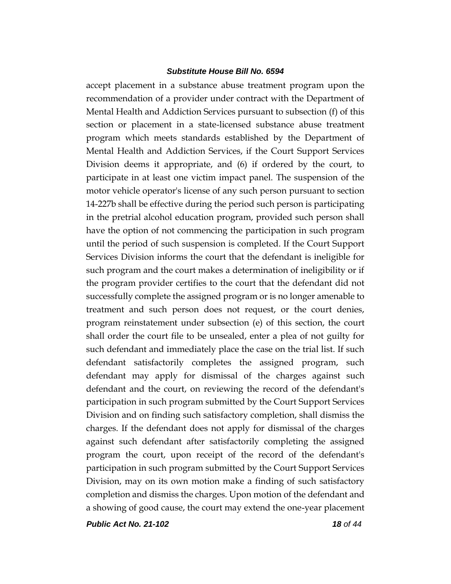accept placement in a substance abuse treatment program upon the recommendation of a provider under contract with the Department of Mental Health and Addiction Services pursuant to subsection (f) of this section or placement in a state-licensed substance abuse treatment program which meets standards established by the Department of Mental Health and Addiction Services, if the Court Support Services Division deems it appropriate, and (6) if ordered by the court, to participate in at least one victim impact panel. The suspension of the motor vehicle operator's license of any such person pursuant to section 14-227b shall be effective during the period such person is participating in the pretrial alcohol education program, provided such person shall have the option of not commencing the participation in such program until the period of such suspension is completed. If the Court Support Services Division informs the court that the defendant is ineligible for such program and the court makes a determination of ineligibility or if the program provider certifies to the court that the defendant did not successfully complete the assigned program or is no longer amenable to treatment and such person does not request, or the court denies, program reinstatement under subsection (e) of this section, the court shall order the court file to be unsealed, enter a plea of not guilty for such defendant and immediately place the case on the trial list. If such defendant satisfactorily completes the assigned program, such defendant may apply for dismissal of the charges against such defendant and the court, on reviewing the record of the defendant's participation in such program submitted by the Court Support Services Division and on finding such satisfactory completion, shall dismiss the charges. If the defendant does not apply for dismissal of the charges against such defendant after satisfactorily completing the assigned program the court, upon receipt of the record of the defendant's participation in such program submitted by the Court Support Services Division, may on its own motion make a finding of such satisfactory completion and dismiss the charges. Upon motion of the defendant and a showing of good cause, the court may extend the one-year placement

*Public Act No. 21-102 18 of 44*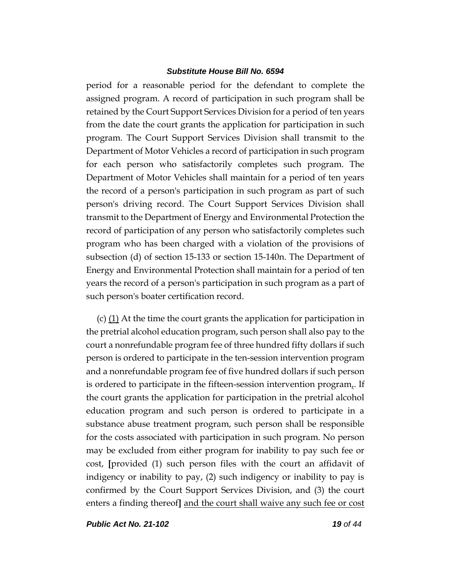period for a reasonable period for the defendant to complete the assigned program. A record of participation in such program shall be retained by the Court Support Services Division for a period of ten years from the date the court grants the application for participation in such program. The Court Support Services Division shall transmit to the Department of Motor Vehicles a record of participation in such program for each person who satisfactorily completes such program. The Department of Motor Vehicles shall maintain for a period of ten years the record of a person's participation in such program as part of such person's driving record. The Court Support Services Division shall transmit to the Department of Energy and Environmental Protection the record of participation of any person who satisfactorily completes such program who has been charged with a violation of the provisions of subsection (d) of section 15-133 or section 15-140n. The Department of Energy and Environmental Protection shall maintain for a period of ten years the record of a person's participation in such program as a part of such person's boater certification record.

(c)  $(1)$  At the time the court grants the application for participation in the pretrial alcohol education program, such person shall also pay to the court a nonrefundable program fee of three hundred fifty dollars if such person is ordered to participate in the ten-session intervention program and a nonrefundable program fee of five hundred dollars if such person is ordered to participate in the fifteen-session intervention program. If the court grants the application for participation in the pretrial alcohol education program and such person is ordered to participate in a substance abuse treatment program, such person shall be responsible for the costs associated with participation in such program. No person may be excluded from either program for inability to pay such fee or cost, **[**provided (1) such person files with the court an affidavit of indigency or inability to pay, (2) such indigency or inability to pay is confirmed by the Court Support Services Division, and (3) the court enters a finding thereof**]** and the court shall waive any such fee or cost

*Public Act No. 21-102 19 of 44*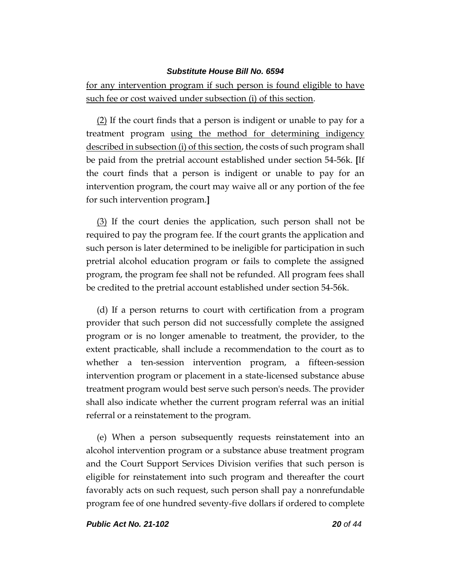for any intervention program if such person is found eligible to have such fee or cost waived under subsection (i) of this section.

 $(2)$  If the court finds that a person is indigent or unable to pay for a treatment program using the method for determining indigency described in subsection (i) of this section, the costs of such program shall be paid from the pretrial account established under section 54-56k. **[**If the court finds that a person is indigent or unable to pay for an intervention program, the court may waive all or any portion of the fee for such intervention program.**]**

(3) If the court denies the application, such person shall not be required to pay the program fee. If the court grants the application and such person is later determined to be ineligible for participation in such pretrial alcohol education program or fails to complete the assigned program, the program fee shall not be refunded. All program fees shall be credited to the pretrial account established under section 54-56k.

(d) If a person returns to court with certification from a program provider that such person did not successfully complete the assigned program or is no longer amenable to treatment, the provider, to the extent practicable, shall include a recommendation to the court as to whether a ten-session intervention program, a fifteen-session intervention program or placement in a state-licensed substance abuse treatment program would best serve such person's needs. The provider shall also indicate whether the current program referral was an initial referral or a reinstatement to the program.

(e) When a person subsequently requests reinstatement into an alcohol intervention program or a substance abuse treatment program and the Court Support Services Division verifies that such person is eligible for reinstatement into such program and thereafter the court favorably acts on such request, such person shall pay a nonrefundable program fee of one hundred seventy-five dollars if ordered to complete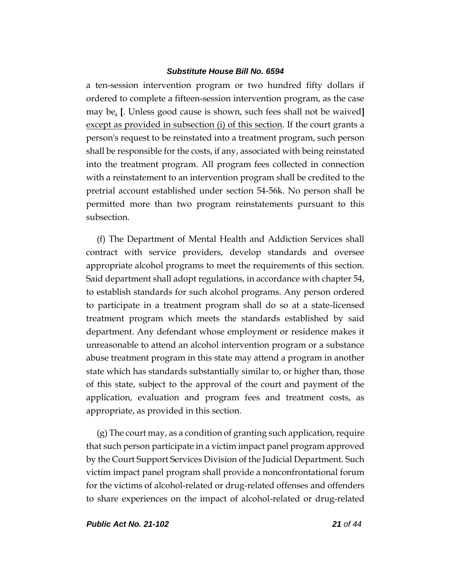a ten-session intervention program or two hundred fifty dollars if ordered to complete a fifteen-session intervention program, as the case may be, **[**. Unless good cause is shown, such fees shall not be waived**]** except as provided in subsection (i) of this section. If the court grants a person's request to be reinstated into a treatment program, such person shall be responsible for the costs, if any, associated with being reinstated into the treatment program. All program fees collected in connection with a reinstatement to an intervention program shall be credited to the pretrial account established under section 54-56k. No person shall be permitted more than two program reinstatements pursuant to this subsection.

(f) The Department of Mental Health and Addiction Services shall contract with service providers, develop standards and oversee appropriate alcohol programs to meet the requirements of this section. Said department shall adopt regulations, in accordance with chapter 54, to establish standards for such alcohol programs. Any person ordered to participate in a treatment program shall do so at a state-licensed treatment program which meets the standards established by said department. Any defendant whose employment or residence makes it unreasonable to attend an alcohol intervention program or a substance abuse treatment program in this state may attend a program in another state which has standards substantially similar to, or higher than, those of this state, subject to the approval of the court and payment of the application, evaluation and program fees and treatment costs, as appropriate, as provided in this section.

(g) The court may, as a condition of granting such application, require that such person participate in a victim impact panel program approved by the Court Support Services Division of the Judicial Department. Such victim impact panel program shall provide a nonconfrontational forum for the victims of alcohol-related or drug-related offenses and offenders to share experiences on the impact of alcohol-related or drug-related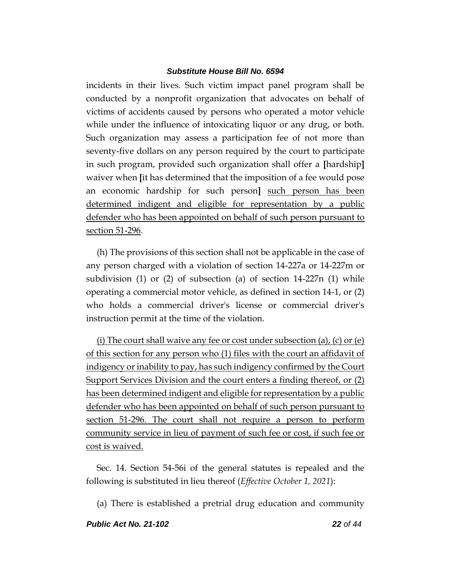incidents in their lives. Such victim impact panel program shall be conducted by a nonprofit organization that advocates on behalf of victims of accidents caused by persons who operated a motor vehicle while under the influence of intoxicating liquor or any drug, or both. Such organization may assess a participation fee of not more than seventy-five dollars on any person required by the court to participate in such program, provided such organization shall offer a **[**hardship**]** waiver when **[**it has determined that the imposition of a fee would pose an economic hardship for such person**]** such person has been determined indigent and eligible for representation by a public defender who has been appointed on behalf of such person pursuant to section 51-296.

(h) The provisions of this section shall not be applicable in the case of any person charged with a violation of section 14-227a or 14-227m or subdivision (1) or (2) of subsection (a) of section 14-227n (1) while operating a commercial motor vehicle, as defined in section 14-1, or (2) who holds a commercial driver's license or commercial driver's instruction permit at the time of the violation.

(i) The court shall waive any fee or cost under subsection (a), (c) or (e) of this section for any person who (1) files with the court an affidavit of indigency or inability to pay, has such indigency confirmed by the Court Support Services Division and the court enters a finding thereof, or (2) has been determined indigent and eligible for representation by a public defender who has been appointed on behalf of such person pursuant to section 51-296. The court shall not require a person to perform community service in lieu of payment of such fee or cost, if such fee or cost is waived.

Sec. 14. Section 54-56i of the general statutes is repealed and the following is substituted in lieu thereof (*Effective October 1, 2021*):

(a) There is established a pretrial drug education and community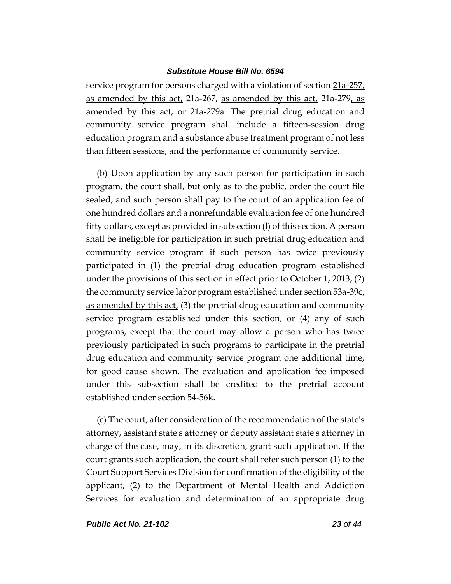service program for persons charged with a violation of section 21a-257, as amended by this act, 21a-267, as amended by this act, 21a-279, as amended by this act, or 21a-279a. The pretrial drug education and community service program shall include a fifteen-session drug education program and a substance abuse treatment program of not less than fifteen sessions, and the performance of community service.

(b) Upon application by any such person for participation in such program, the court shall, but only as to the public, order the court file sealed, and such person shall pay to the court of an application fee of one hundred dollars and a nonrefundable evaluation fee of one hundred fifty dollars, except as provided in subsection (l) of this section. A person shall be ineligible for participation in such pretrial drug education and community service program if such person has twice previously participated in (1) the pretrial drug education program established under the provisions of this section in effect prior to October 1, 2013, (2) the community service labor program established under section 53a-39c, as amended by this  $act<sub>L</sub>$  (3) the pretrial drug education and community service program established under this section, or (4) any of such programs, except that the court may allow a person who has twice previously participated in such programs to participate in the pretrial drug education and community service program one additional time, for good cause shown. The evaluation and application fee imposed under this subsection shall be credited to the pretrial account established under section 54-56k.

(c) The court, after consideration of the recommendation of the state's attorney, assistant state's attorney or deputy assistant state's attorney in charge of the case, may, in its discretion, grant such application. If the court grants such application, the court shall refer such person (1) to the Court Support Services Division for confirmation of the eligibility of the applicant, (2) to the Department of Mental Health and Addiction Services for evaluation and determination of an appropriate drug

*Public Act No. 21-102 23 of 44*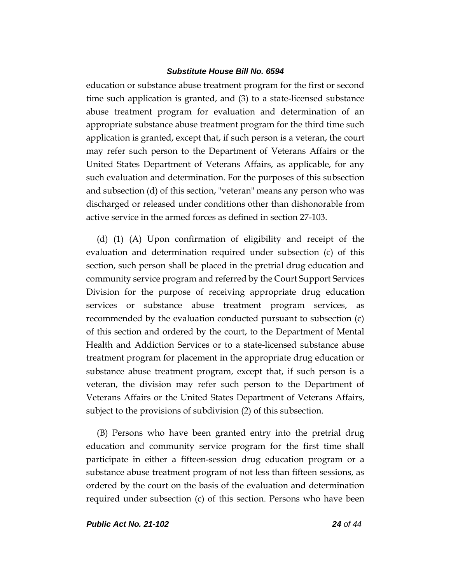education or substance abuse treatment program for the first or second time such application is granted, and (3) to a state-licensed substance abuse treatment program for evaluation and determination of an appropriate substance abuse treatment program for the third time such application is granted, except that, if such person is a veteran, the court may refer such person to the Department of Veterans Affairs or the United States Department of Veterans Affairs, as applicable, for any such evaluation and determination. For the purposes of this subsection and subsection (d) of this section, "veteran" means any person who was discharged or released under conditions other than dishonorable from active service in the armed forces as defined in section 27-103.

(d) (1) (A) Upon confirmation of eligibility and receipt of the evaluation and determination required under subsection (c) of this section, such person shall be placed in the pretrial drug education and community service program and referred by the Court Support Services Division for the purpose of receiving appropriate drug education services or substance abuse treatment program services, as recommended by the evaluation conducted pursuant to subsection (c) of this section and ordered by the court, to the Department of Mental Health and Addiction Services or to a state-licensed substance abuse treatment program for placement in the appropriate drug education or substance abuse treatment program, except that, if such person is a veteran, the division may refer such person to the Department of Veterans Affairs or the United States Department of Veterans Affairs, subject to the provisions of subdivision (2) of this subsection.

(B) Persons who have been granted entry into the pretrial drug education and community service program for the first time shall participate in either a fifteen-session drug education program or a substance abuse treatment program of not less than fifteen sessions, as ordered by the court on the basis of the evaluation and determination required under subsection (c) of this section. Persons who have been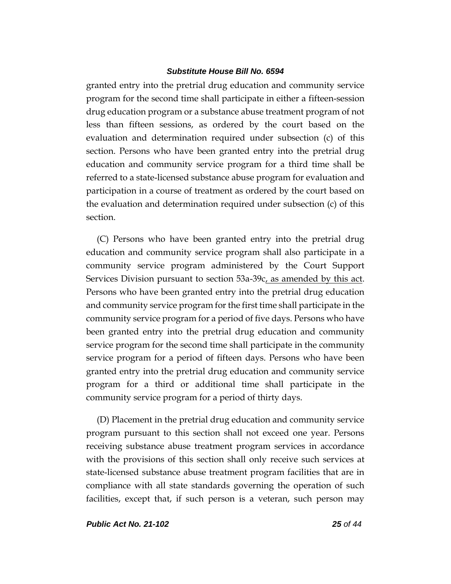granted entry into the pretrial drug education and community service program for the second time shall participate in either a fifteen-session drug education program or a substance abuse treatment program of not less than fifteen sessions, as ordered by the court based on the evaluation and determination required under subsection (c) of this section. Persons who have been granted entry into the pretrial drug education and community service program for a third time shall be referred to a state-licensed substance abuse program for evaluation and participation in a course of treatment as ordered by the court based on the evaluation and determination required under subsection (c) of this section.

(C) Persons who have been granted entry into the pretrial drug education and community service program shall also participate in a community service program administered by the Court Support Services Division pursuant to section  $53a-39c$ , as amended by this act. Persons who have been granted entry into the pretrial drug education and community service program for the first time shall participate in the community service program for a period of five days. Persons who have been granted entry into the pretrial drug education and community service program for the second time shall participate in the community service program for a period of fifteen days. Persons who have been granted entry into the pretrial drug education and community service program for a third or additional time shall participate in the community service program for a period of thirty days.

(D) Placement in the pretrial drug education and community service program pursuant to this section shall not exceed one year. Persons receiving substance abuse treatment program services in accordance with the provisions of this section shall only receive such services at state-licensed substance abuse treatment program facilities that are in compliance with all state standards governing the operation of such facilities, except that, if such person is a veteran, such person may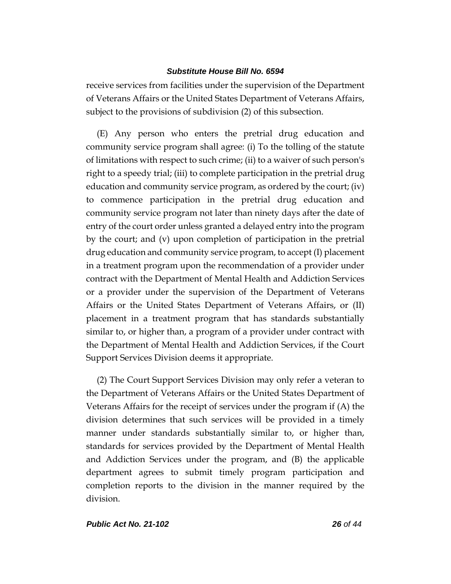receive services from facilities under the supervision of the Department of Veterans Affairs or the United States Department of Veterans Affairs, subject to the provisions of subdivision (2) of this subsection.

(E) Any person who enters the pretrial drug education and community service program shall agree: (i) To the tolling of the statute of limitations with respect to such crime; (ii) to a waiver of such person's right to a speedy trial; (iii) to complete participation in the pretrial drug education and community service program, as ordered by the court; (iv) to commence participation in the pretrial drug education and community service program not later than ninety days after the date of entry of the court order unless granted a delayed entry into the program by the court; and (v) upon completion of participation in the pretrial drug education and community service program, to accept (I) placement in a treatment program upon the recommendation of a provider under contract with the Department of Mental Health and Addiction Services or a provider under the supervision of the Department of Veterans Affairs or the United States Department of Veterans Affairs, or (II) placement in a treatment program that has standards substantially similar to, or higher than, a program of a provider under contract with the Department of Mental Health and Addiction Services, if the Court Support Services Division deems it appropriate.

(2) The Court Support Services Division may only refer a veteran to the Department of Veterans Affairs or the United States Department of Veterans Affairs for the receipt of services under the program if (A) the division determines that such services will be provided in a timely manner under standards substantially similar to, or higher than, standards for services provided by the Department of Mental Health and Addiction Services under the program, and (B) the applicable department agrees to submit timely program participation and completion reports to the division in the manner required by the division.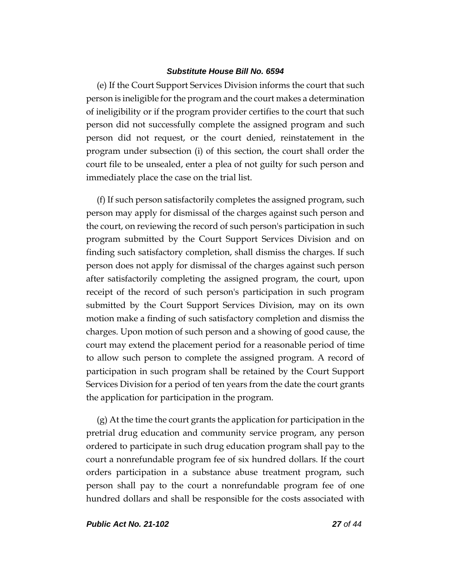(e) If the Court Support Services Division informs the court that such person is ineligible for the program and the court makes a determination of ineligibility or if the program provider certifies to the court that such person did not successfully complete the assigned program and such person did not request, or the court denied, reinstatement in the program under subsection (i) of this section, the court shall order the court file to be unsealed, enter a plea of not guilty for such person and immediately place the case on the trial list.

(f) If such person satisfactorily completes the assigned program, such person may apply for dismissal of the charges against such person and the court, on reviewing the record of such person's participation in such program submitted by the Court Support Services Division and on finding such satisfactory completion, shall dismiss the charges. If such person does not apply for dismissal of the charges against such person after satisfactorily completing the assigned program, the court, upon receipt of the record of such person's participation in such program submitted by the Court Support Services Division, may on its own motion make a finding of such satisfactory completion and dismiss the charges. Upon motion of such person and a showing of good cause, the court may extend the placement period for a reasonable period of time to allow such person to complete the assigned program. A record of participation in such program shall be retained by the Court Support Services Division for a period of ten years from the date the court grants the application for participation in the program.

(g) At the time the court grants the application for participation in the pretrial drug education and community service program, any person ordered to participate in such drug education program shall pay to the court a nonrefundable program fee of six hundred dollars. If the court orders participation in a substance abuse treatment program, such person shall pay to the court a nonrefundable program fee of one hundred dollars and shall be responsible for the costs associated with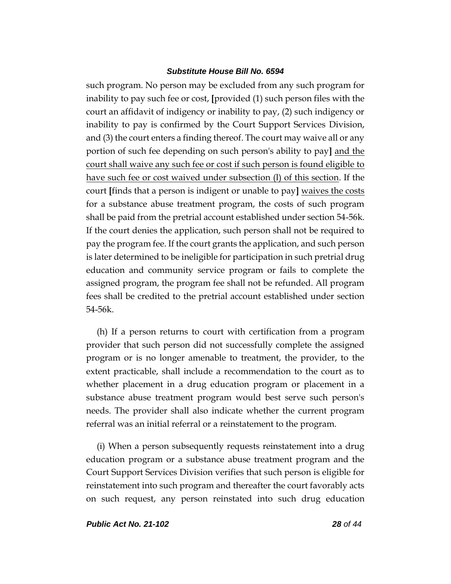such program. No person may be excluded from any such program for inability to pay such fee or cost, **[**provided (1) such person files with the court an affidavit of indigency or inability to pay, (2) such indigency or inability to pay is confirmed by the Court Support Services Division, and (3) the court enters a finding thereof. The court may waive all or any portion of such fee depending on such person's ability to pay**]** and the court shall waive any such fee or cost if such person is found eligible to have such fee or cost waived under subsection (l) of this section. If the court **[**finds that a person is indigent or unable to pay**]** waives the costs for a substance abuse treatment program, the costs of such program shall be paid from the pretrial account established under section 54-56k. If the court denies the application, such person shall not be required to pay the program fee. If the court grants the application, and such person is later determined to be ineligible for participation in such pretrial drug education and community service program or fails to complete the assigned program, the program fee shall not be refunded. All program fees shall be credited to the pretrial account established under section 54-56k.

(h) If a person returns to court with certification from a program provider that such person did not successfully complete the assigned program or is no longer amenable to treatment, the provider, to the extent practicable, shall include a recommendation to the court as to whether placement in a drug education program or placement in a substance abuse treatment program would best serve such person's needs. The provider shall also indicate whether the current program referral was an initial referral or a reinstatement to the program.

(i) When a person subsequently requests reinstatement into a drug education program or a substance abuse treatment program and the Court Support Services Division verifies that such person is eligible for reinstatement into such program and thereafter the court favorably acts on such request, any person reinstated into such drug education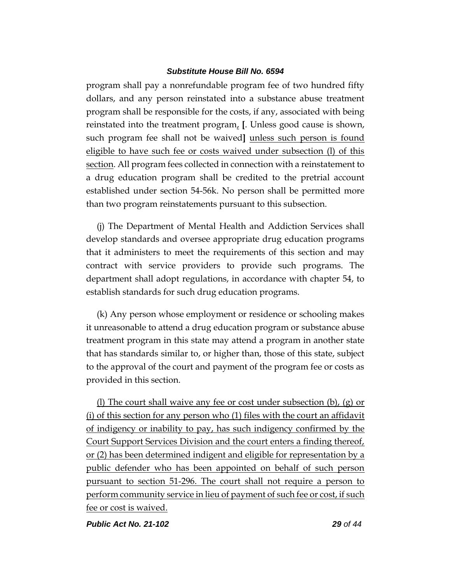program shall pay a nonrefundable program fee of two hundred fifty dollars, and any person reinstated into a substance abuse treatment program shall be responsible for the costs, if any, associated with being reinstated into the treatment program, **[**. Unless good cause is shown, such program fee shall not be waived**]** unless such person is found eligible to have such fee or costs waived under subsection (l) of this section. All program fees collected in connection with a reinstatement to a drug education program shall be credited to the pretrial account established under section 54-56k. No person shall be permitted more than two program reinstatements pursuant to this subsection.

(j) The Department of Mental Health and Addiction Services shall develop standards and oversee appropriate drug education programs that it administers to meet the requirements of this section and may contract with service providers to provide such programs. The department shall adopt regulations, in accordance with chapter 54, to establish standards for such drug education programs.

(k) Any person whose employment or residence or schooling makes it unreasonable to attend a drug education program or substance abuse treatment program in this state may attend a program in another state that has standards similar to, or higher than, those of this state, subject to the approval of the court and payment of the program fee or costs as provided in this section.

(l) The court shall waive any fee or cost under subsection (b), (g) or (i) of this section for any person who (1) files with the court an affidavit of indigency or inability to pay, has such indigency confirmed by the Court Support Services Division and the court enters a finding thereof, or (2) has been determined indigent and eligible for representation by a public defender who has been appointed on behalf of such person pursuant to section 51-296. The court shall not require a person to perform community service in lieu of payment of such fee or cost, if such fee or cost is waived.

*Public Act No. 21-102 29 of 44*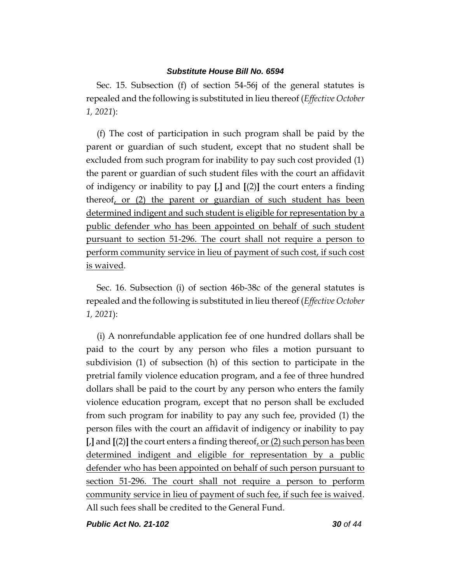Sec. 15. Subsection (f) of section 54-56j of the general statutes is repealed and the following is substituted in lieu thereof (*Effective October 1, 2021*):

(f) The cost of participation in such program shall be paid by the parent or guardian of such student, except that no student shall be excluded from such program for inability to pay such cost provided (1) the parent or guardian of such student files with the court an affidavit of indigency or inability to pay **[**,**]** and **[**(2)**]** the court enters a finding thereof, or (2) the parent or guardian of such student has been determined indigent and such student is eligible for representation by a public defender who has been appointed on behalf of such student pursuant to section 51-296. The court shall not require a person to perform community service in lieu of payment of such cost, if such cost is waived.

Sec. 16. Subsection (i) of section 46b-38c of the general statutes is repealed and the following is substituted in lieu thereof (*Effective October 1, 2021*):

(i) A nonrefundable application fee of one hundred dollars shall be paid to the court by any person who files a motion pursuant to subdivision (1) of subsection (h) of this section to participate in the pretrial family violence education program, and a fee of three hundred dollars shall be paid to the court by any person who enters the family violence education program, except that no person shall be excluded from such program for inability to pay any such fee, provided (1) the person files with the court an affidavit of indigency or inability to pay **[**,**]** and **[**(2)**]** the court enters a finding thereof, or (2) such person has been determined indigent and eligible for representation by a public defender who has been appointed on behalf of such person pursuant to section 51-296. The court shall not require a person to perform community service in lieu of payment of such fee, if such fee is waived. All such fees shall be credited to the General Fund.

*Public Act No. 21-102 30 of 44*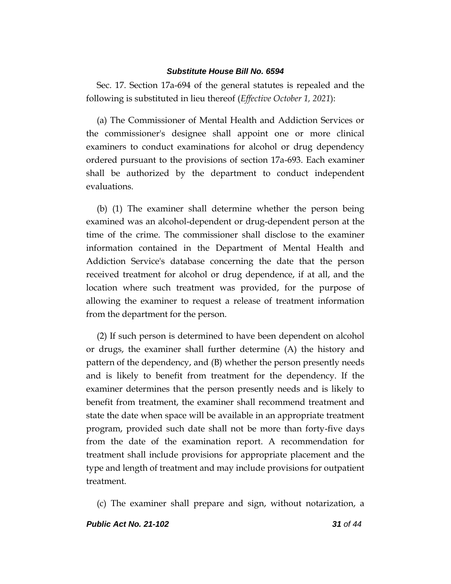Sec. 17. Section 17a-694 of the general statutes is repealed and the following is substituted in lieu thereof (*Effective October 1, 2021*):

(a) The Commissioner of Mental Health and Addiction Services or the commissioner's designee shall appoint one or more clinical examiners to conduct examinations for alcohol or drug dependency ordered pursuant to the provisions of section 17a-693. Each examiner shall be authorized by the department to conduct independent evaluations.

(b) (1) The examiner shall determine whether the person being examined was an alcohol-dependent or drug-dependent person at the time of the crime. The commissioner shall disclose to the examiner information contained in the Department of Mental Health and Addiction Service's database concerning the date that the person received treatment for alcohol or drug dependence, if at all, and the location where such treatment was provided, for the purpose of allowing the examiner to request a release of treatment information from the department for the person.

(2) If such person is determined to have been dependent on alcohol or drugs, the examiner shall further determine (A) the history and pattern of the dependency, and (B) whether the person presently needs and is likely to benefit from treatment for the dependency. If the examiner determines that the person presently needs and is likely to benefit from treatment, the examiner shall recommend treatment and state the date when space will be available in an appropriate treatment program, provided such date shall not be more than forty-five days from the date of the examination report. A recommendation for treatment shall include provisions for appropriate placement and the type and length of treatment and may include provisions for outpatient treatment.

(c) The examiner shall prepare and sign, without notarization, a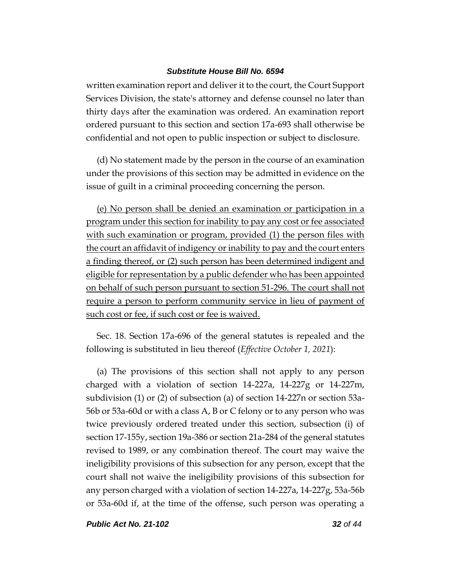written examination report and deliver it to the court, the Court Support Services Division, the state's attorney and defense counsel no later than thirty days after the examination was ordered. An examination report ordered pursuant to this section and section 17a-693 shall otherwise be confidential and not open to public inspection or subject to disclosure.

(d) No statement made by the person in the course of an examination under the provisions of this section may be admitted in evidence on the issue of guilt in a criminal proceeding concerning the person.

(e) No person shall be denied an examination or participation in a program under this section for inability to pay any cost or fee associated with such examination or program, provided (1) the person files with the court an affidavit of indigency or inability to pay and the court enters a finding thereof, or (2) such person has been determined indigent and eligible for representation by a public defender who has been appointed on behalf of such person pursuant to section 51-296. The court shall not require a person to perform community service in lieu of payment of such cost or fee, if such cost or fee is waived.

Sec. 18. Section 17a-696 of the general statutes is repealed and the following is substituted in lieu thereof (*Effective October 1, 2021*):

(a) The provisions of this section shall not apply to any person charged with a violation of section 14-227a, 14-227g or 14-227m, subdivision (1) or (2) of subsection (a) of section 14-227n or section 53a-56b or 53a-60d or with a class A, B or C felony or to any person who was twice previously ordered treated under this section, subsection (i) of section 17-155y, section 19a-386 or section 21a-284 of the general statutes revised to 1989, or any combination thereof. The court may waive the ineligibility provisions of this subsection for any person, except that the court shall not waive the ineligibility provisions of this subsection for any person charged with a violation of section 14-227a, 14-227g, 53a-56b or 53a-60d if, at the time of the offense, such person was operating a

*Public Act No. 21-102 32 of 44*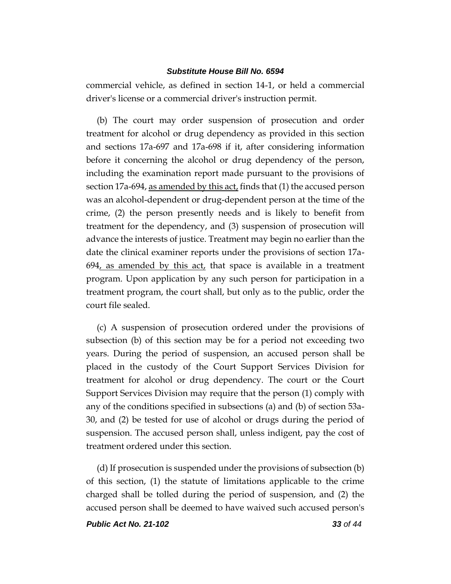commercial vehicle, as defined in section 14-1, or held a commercial driver's license or a commercial driver's instruction permit.

(b) The court may order suspension of prosecution and order treatment for alcohol or drug dependency as provided in this section and sections 17a-697 and 17a-698 if it, after considering information before it concerning the alcohol or drug dependency of the person, including the examination report made pursuant to the provisions of section 17a-694, as amended by this act, finds that (1) the accused person was an alcohol-dependent or drug-dependent person at the time of the crime, (2) the person presently needs and is likely to benefit from treatment for the dependency, and (3) suspension of prosecution will advance the interests of justice. Treatment may begin no earlier than the date the clinical examiner reports under the provisions of section 17a- $694$ , as amended by this act, that space is available in a treatment program. Upon application by any such person for participation in a treatment program, the court shall, but only as to the public, order the court file sealed.

(c) A suspension of prosecution ordered under the provisions of subsection (b) of this section may be for a period not exceeding two years. During the period of suspension, an accused person shall be placed in the custody of the Court Support Services Division for treatment for alcohol or drug dependency. The court or the Court Support Services Division may require that the person (1) comply with any of the conditions specified in subsections (a) and (b) of section 53a-30, and (2) be tested for use of alcohol or drugs during the period of suspension. The accused person shall, unless indigent, pay the cost of treatment ordered under this section.

(d) If prosecution is suspended under the provisions of subsection (b) of this section, (1) the statute of limitations applicable to the crime charged shall be tolled during the period of suspension, and (2) the accused person shall be deemed to have waived such accused person's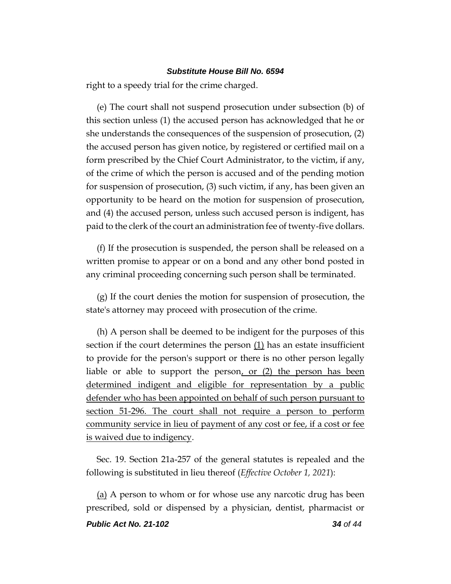right to a speedy trial for the crime charged.

(e) The court shall not suspend prosecution under subsection (b) of this section unless (1) the accused person has acknowledged that he or she understands the consequences of the suspension of prosecution, (2) the accused person has given notice, by registered or certified mail on a form prescribed by the Chief Court Administrator, to the victim, if any, of the crime of which the person is accused and of the pending motion for suspension of prosecution, (3) such victim, if any, has been given an opportunity to be heard on the motion for suspension of prosecution, and (4) the accused person, unless such accused person is indigent, has paid to the clerk of the court an administration fee of twenty-five dollars.

(f) If the prosecution is suspended, the person shall be released on a written promise to appear or on a bond and any other bond posted in any criminal proceeding concerning such person shall be terminated.

(g) If the court denies the motion for suspension of prosecution, the state's attorney may proceed with prosecution of the crime.

(h) A person shall be deemed to be indigent for the purposes of this section if the court determines the person (1) has an estate insufficient to provide for the person's support or there is no other person legally liable or able to support the person, or (2) the person has been determined indigent and eligible for representation by a public defender who has been appointed on behalf of such person pursuant to section 51-296. The court shall not require a person to perform community service in lieu of payment of any cost or fee, if a cost or fee is waived due to indigency.

Sec. 19. Section 21a-257 of the general statutes is repealed and the following is substituted in lieu thereof (*Effective October 1, 2021*):

(a) A person to whom or for whose use any narcotic drug has been prescribed, sold or dispensed by a physician, dentist, pharmacist or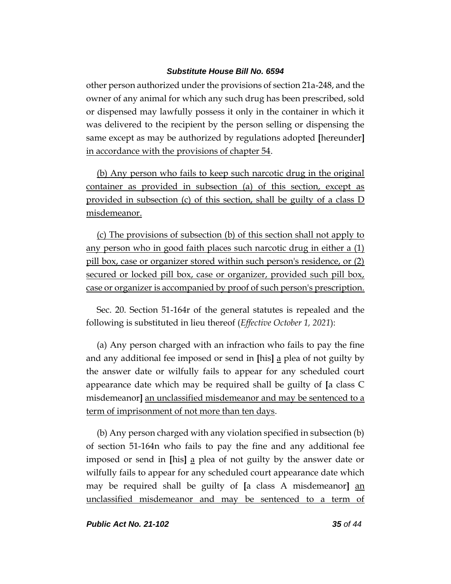other person authorized under the provisions of section 21a-248, and the owner of any animal for which any such drug has been prescribed, sold or dispensed may lawfully possess it only in the container in which it was delivered to the recipient by the person selling or dispensing the same except as may be authorized by regulations adopted **[**hereunder**]** in accordance with the provisions of chapter 54.

(b) Any person who fails to keep such narcotic drug in the original container as provided in subsection (a) of this section, except as provided in subsection (c) of this section, shall be guilty of a class D misdemeanor.

(c) The provisions of subsection (b) of this section shall not apply to any person who in good faith places such narcotic drug in either a (1) pill box, case or organizer stored within such person's residence, or (2) secured or locked pill box, case or organizer, provided such pill box, case or organizer is accompanied by proof of such person's prescription.

Sec. 20. Section 51-164r of the general statutes is repealed and the following is substituted in lieu thereof (*Effective October 1, 2021*):

(a) Any person charged with an infraction who fails to pay the fine and any additional fee imposed or send in **[**his**]** a plea of not guilty by the answer date or wilfully fails to appear for any scheduled court appearance date which may be required shall be guilty of **[**a class C misdemeanor**]** an unclassified misdemeanor and may be sentenced to a term of imprisonment of not more than ten days.

(b) Any person charged with any violation specified in subsection (b) of section 51-164n who fails to pay the fine and any additional fee imposed or send in **[**his**]** a plea of not guilty by the answer date or wilfully fails to appear for any scheduled court appearance date which may be required shall be guilty of **[**a class A misdemeanor**]** an unclassified misdemeanor and may be sentenced to a term of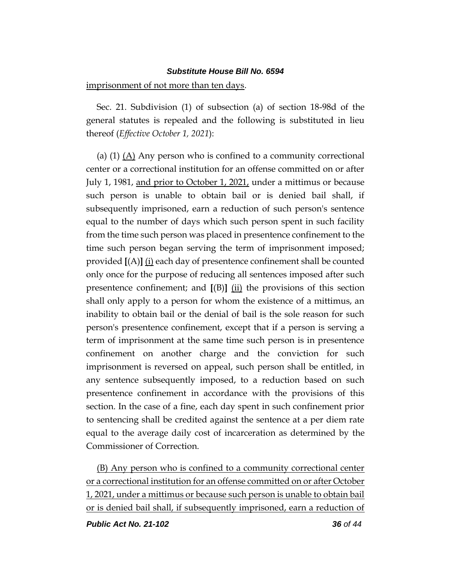imprisonment of not more than ten days.

Sec. 21. Subdivision (1) of subsection (a) of section 18-98d of the general statutes is repealed and the following is substituted in lieu thereof (*Effective October 1, 2021*):

(a)  $(1)$   $(A)$  Any person who is confined to a community correctional center or a correctional institution for an offense committed on or after July 1, 1981, and prior to October 1, 2021, under a mittimus or because such person is unable to obtain bail or is denied bail shall, if subsequently imprisoned, earn a reduction of such person's sentence equal to the number of days which such person spent in such facility from the time such person was placed in presentence confinement to the time such person began serving the term of imprisonment imposed; provided **[**(A)**]** (i) each day of presentence confinement shall be counted only once for the purpose of reducing all sentences imposed after such presentence confinement; and **[**(B)**]** (ii) the provisions of this section shall only apply to a person for whom the existence of a mittimus, an inability to obtain bail or the denial of bail is the sole reason for such person's presentence confinement, except that if a person is serving a term of imprisonment at the same time such person is in presentence confinement on another charge and the conviction for such imprisonment is reversed on appeal, such person shall be entitled, in any sentence subsequently imposed, to a reduction based on such presentence confinement in accordance with the provisions of this section. In the case of a fine, each day spent in such confinement prior to sentencing shall be credited against the sentence at a per diem rate equal to the average daily cost of incarceration as determined by the Commissioner of Correction.

(B) Any person who is confined to a community correctional center or a correctional institution for an offense committed on or after October 1, 2021, under a mittimus or because such person is unable to obtain bail or is denied bail shall, if subsequently imprisoned, earn a reduction of

*Public Act No. 21-102 36 of 44*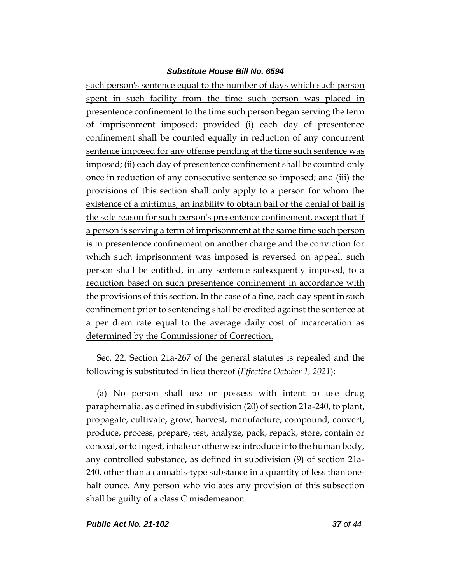such person's sentence equal to the number of days which such person spent in such facility from the time such person was placed in presentence confinement to the time such person began serving the term of imprisonment imposed; provided (i) each day of presentence confinement shall be counted equally in reduction of any concurrent sentence imposed for any offense pending at the time such sentence was imposed; (ii) each day of presentence confinement shall be counted only once in reduction of any consecutive sentence so imposed; and (iii) the provisions of this section shall only apply to a person for whom the existence of a mittimus, an inability to obtain bail or the denial of bail is the sole reason for such person's presentence confinement, except that if a person is serving a term of imprisonment at the same time such person is in presentence confinement on another charge and the conviction for which such imprisonment was imposed is reversed on appeal, such person shall be entitled, in any sentence subsequently imposed, to a reduction based on such presentence confinement in accordance with the provisions of this section. In the case of a fine, each day spent in such confinement prior to sentencing shall be credited against the sentence at a per diem rate equal to the average daily cost of incarceration as determined by the Commissioner of Correction.

Sec. 22. Section 21a-267 of the general statutes is repealed and the following is substituted in lieu thereof (*Effective October 1, 2021*):

(a) No person shall use or possess with intent to use drug paraphernalia, as defined in subdivision (20) of section 21a-240, to plant, propagate, cultivate, grow, harvest, manufacture, compound, convert, produce, process, prepare, test, analyze, pack, repack, store, contain or conceal, or to ingest, inhale or otherwise introduce into the human body, any controlled substance, as defined in subdivision (9) of section 21a-240, other than a cannabis-type substance in a quantity of less than onehalf ounce. Any person who violates any provision of this subsection shall be guilty of a class C misdemeanor.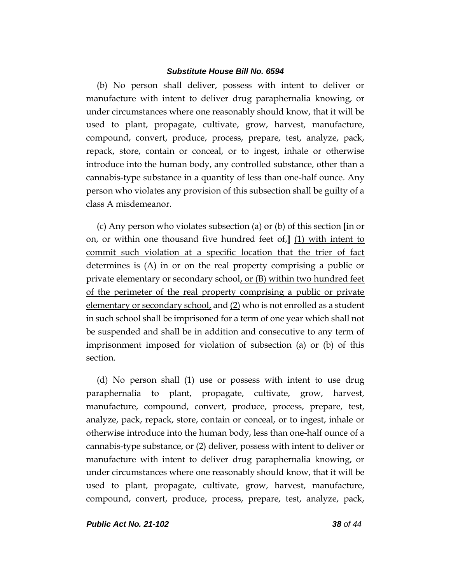(b) No person shall deliver, possess with intent to deliver or manufacture with intent to deliver drug paraphernalia knowing, or under circumstances where one reasonably should know, that it will be used to plant, propagate, cultivate, grow, harvest, manufacture, compound, convert, produce, process, prepare, test, analyze, pack, repack, store, contain or conceal, or to ingest, inhale or otherwise introduce into the human body, any controlled substance, other than a cannabis-type substance in a quantity of less than one-half ounce. Any person who violates any provision of this subsection shall be guilty of a class A misdemeanor.

(c) Any person who violates subsection (a) or (b) of this section **[**in or on, or within one thousand five hundred feet of,**]** (1) with intent to commit such violation at a specific location that the trier of fact determines is (A) in or on the real property comprising a public or private elementary or secondary school, or (B) within two hundred feet of the perimeter of the real property comprising a public or private elementary or secondary school, and (2) who is not enrolled as a student in such school shall be imprisoned for a term of one year which shall not be suspended and shall be in addition and consecutive to any term of imprisonment imposed for violation of subsection (a) or (b) of this section.

(d) No person shall (1) use or possess with intent to use drug paraphernalia to plant, propagate, cultivate, grow, harvest, manufacture, compound, convert, produce, process, prepare, test, analyze, pack, repack, store, contain or conceal, or to ingest, inhale or otherwise introduce into the human body, less than one-half ounce of a cannabis-type substance, or (2) deliver, possess with intent to deliver or manufacture with intent to deliver drug paraphernalia knowing, or under circumstances where one reasonably should know, that it will be used to plant, propagate, cultivate, grow, harvest, manufacture, compound, convert, produce, process, prepare, test, analyze, pack,

*Public Act No. 21-102 38 of 44*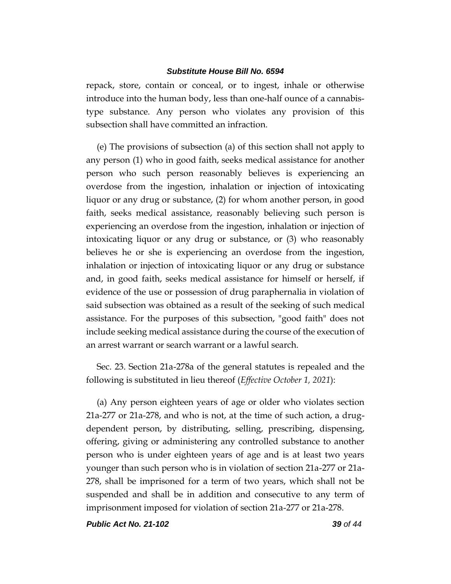repack, store, contain or conceal, or to ingest, inhale or otherwise introduce into the human body, less than one-half ounce of a cannabistype substance. Any person who violates any provision of this subsection shall have committed an infraction.

(e) The provisions of subsection (a) of this section shall not apply to any person (1) who in good faith, seeks medical assistance for another person who such person reasonably believes is experiencing an overdose from the ingestion, inhalation or injection of intoxicating liquor or any drug or substance, (2) for whom another person, in good faith, seeks medical assistance, reasonably believing such person is experiencing an overdose from the ingestion, inhalation or injection of intoxicating liquor or any drug or substance, or (3) who reasonably believes he or she is experiencing an overdose from the ingestion, inhalation or injection of intoxicating liquor or any drug or substance and, in good faith, seeks medical assistance for himself or herself, if evidence of the use or possession of drug paraphernalia in violation of said subsection was obtained as a result of the seeking of such medical assistance. For the purposes of this subsection, "good faith" does not include seeking medical assistance during the course of the execution of an arrest warrant or search warrant or a lawful search.

Sec. 23. Section 21a-278a of the general statutes is repealed and the following is substituted in lieu thereof (*Effective October 1, 2021*):

(a) Any person eighteen years of age or older who violates section 21a-277 or 21a-278, and who is not, at the time of such action, a drugdependent person, by distributing, selling, prescribing, dispensing, offering, giving or administering any controlled substance to another person who is under eighteen years of age and is at least two years younger than such person who is in violation of section 21a-277 or 21a-278, shall be imprisoned for a term of two years, which shall not be suspended and shall be in addition and consecutive to any term of imprisonment imposed for violation of section 21a-277 or 21a-278.

*Public Act No. 21-102 39 of 44*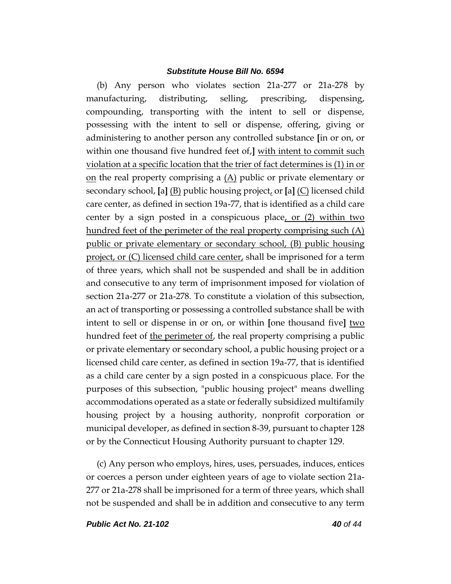(b) Any person who violates section 21a-277 or 21a-278 by manufacturing, distributing, selling, prescribing, dispensing, compounding, transporting with the intent to sell or dispense, possessing with the intent to sell or dispense, offering, giving or administering to another person any controlled substance **[**in or on, or within one thousand five hundred feet of,**]** with intent to commit such violation at a specific location that the trier of fact determines is (1) in or on the real property comprising a  $(A)$  public or private elementary or secondary school, **[**a**]** (B) public housing project, or **[**a**]** (C) licensed child care center, as defined in section 19a-77, that is identified as a child care center by a sign posted in a conspicuous place, or  $(2)$  within two hundred feet of the perimeter of the real property comprising such (A) public or private elementary or secondary school, (B) public housing project, or (C) licensed child care center, shall be imprisoned for a term of three years, which shall not be suspended and shall be in addition and consecutive to any term of imprisonment imposed for violation of section 21a-277 or 21a-278. To constitute a violation of this subsection, an act of transporting or possessing a controlled substance shall be with intent to sell or dispense in or on, or within **[**one thousand five**]** two hundred feet of the perimeter of, the real property comprising a public or private elementary or secondary school, a public housing project or a licensed child care center, as defined in section 19a-77, that is identified as a child care center by a sign posted in a conspicuous place. For the purposes of this subsection, "public housing project" means dwelling accommodations operated as a state or federally subsidized multifamily housing project by a housing authority, nonprofit corporation or municipal developer, as defined in section 8-39, pursuant to chapter 128 or by the Connecticut Housing Authority pursuant to chapter 129.

(c) Any person who employs, hires, uses, persuades, induces, entices or coerces a person under eighteen years of age to violate section 21a-277 or 21a-278 shall be imprisoned for a term of three years, which shall not be suspended and shall be in addition and consecutive to any term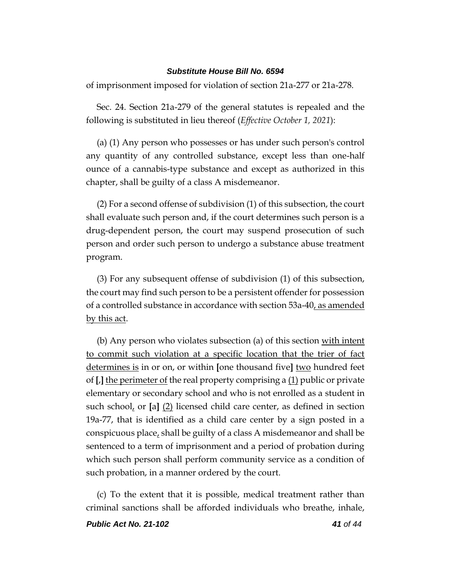of imprisonment imposed for violation of section 21a-277 or 21a-278.

Sec. 24. Section 21a-279 of the general statutes is repealed and the following is substituted in lieu thereof (*Effective October 1, 2021*):

(a) (1) Any person who possesses or has under such person's control any quantity of any controlled substance, except less than one-half ounce of a cannabis-type substance and except as authorized in this chapter, shall be guilty of a class A misdemeanor.

(2) For a second offense of subdivision (1) of this subsection, the court shall evaluate such person and, if the court determines such person is a drug-dependent person, the court may suspend prosecution of such person and order such person to undergo a substance abuse treatment program.

(3) For any subsequent offense of subdivision (1) of this subsection, the court may find such person to be a persistent offender for possession of a controlled substance in accordance with section 53a-40, as amended by this act.

(b) Any person who violates subsection (a) of this section with intent to commit such violation at a specific location that the trier of fact determines is in or on, or within **[**one thousand five**]** two hundred feet of **[**,**]** the perimeter of the real property comprising a (1) public or private elementary or secondary school and who is not enrolled as a student in such school, or **[**a**]** (2) licensed child care center, as defined in section 19a-77, that is identified as a child care center by a sign posted in a conspicuous place, shall be guilty of a class A misdemeanor and shall be sentenced to a term of imprisonment and a period of probation during which such person shall perform community service as a condition of such probation, in a manner ordered by the court.

(c) To the extent that it is possible, medical treatment rather than criminal sanctions shall be afforded individuals who breathe, inhale,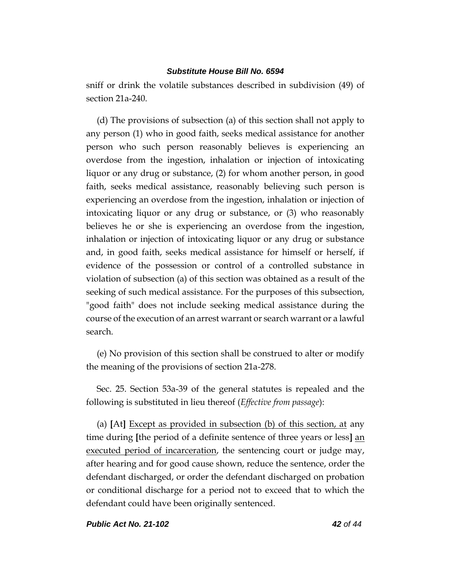sniff or drink the volatile substances described in subdivision (49) of section 21a-240.

(d) The provisions of subsection (a) of this section shall not apply to any person (1) who in good faith, seeks medical assistance for another person who such person reasonably believes is experiencing an overdose from the ingestion, inhalation or injection of intoxicating liquor or any drug or substance, (2) for whom another person, in good faith, seeks medical assistance, reasonably believing such person is experiencing an overdose from the ingestion, inhalation or injection of intoxicating liquor or any drug or substance, or (3) who reasonably believes he or she is experiencing an overdose from the ingestion, inhalation or injection of intoxicating liquor or any drug or substance and, in good faith, seeks medical assistance for himself or herself, if evidence of the possession or control of a controlled substance in violation of subsection (a) of this section was obtained as a result of the seeking of such medical assistance. For the purposes of this subsection, "good faith" does not include seeking medical assistance during the course of the execution of an arrest warrant or search warrant or a lawful search.

(e) No provision of this section shall be construed to alter or modify the meaning of the provisions of section 21a-278.

Sec. 25. Section 53a-39 of the general statutes is repealed and the following is substituted in lieu thereof (*Effective from passage*):

(a) **[**At**]** Except as provided in subsection (b) of this section, at any time during **[**the period of a definite sentence of three years or less**]** an executed period of incarceration, the sentencing court or judge may, after hearing and for good cause shown, reduce the sentence, order the defendant discharged, or order the defendant discharged on probation or conditional discharge for a period not to exceed that to which the defendant could have been originally sentenced.

*Public Act No. 21-102 42 of 44*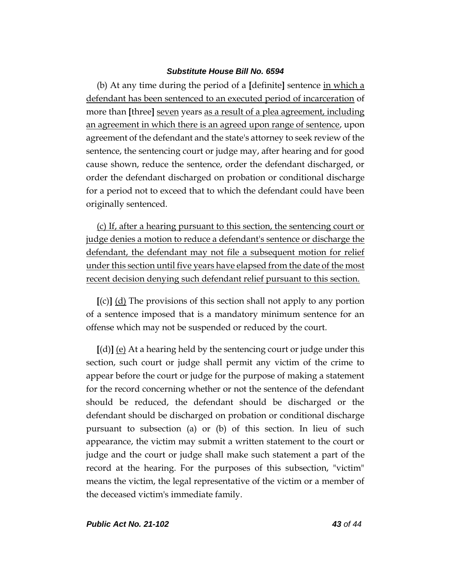(b) At any time during the period of a **[**definite**]** sentence in which a defendant has been sentenced to an executed period of incarceration of more than **[**three**]** seven years as a result of a plea agreement, including an agreement in which there is an agreed upon range of sentence, upon agreement of the defendant and the state's attorney to seek review of the sentence, the sentencing court or judge may, after hearing and for good cause shown, reduce the sentence, order the defendant discharged, or order the defendant discharged on probation or conditional discharge for a period not to exceed that to which the defendant could have been originally sentenced.

(c) If, after a hearing pursuant to this section, the sentencing court or judge denies a motion to reduce a defendant's sentence or discharge the defendant, the defendant may not file a subsequent motion for relief under this section until five years have elapsed from the date of the most recent decision denying such defendant relief pursuant to this section.

**[**(c)**]** (d) The provisions of this section shall not apply to any portion of a sentence imposed that is a mandatory minimum sentence for an offense which may not be suspended or reduced by the court.

**[**(d)**]** (e) At a hearing held by the sentencing court or judge under this section, such court or judge shall permit any victim of the crime to appear before the court or judge for the purpose of making a statement for the record concerning whether or not the sentence of the defendant should be reduced, the defendant should be discharged or the defendant should be discharged on probation or conditional discharge pursuant to subsection (a) or (b) of this section. In lieu of such appearance, the victim may submit a written statement to the court or judge and the court or judge shall make such statement a part of the record at the hearing. For the purposes of this subsection, "victim" means the victim, the legal representative of the victim or a member of the deceased victim's immediate family.